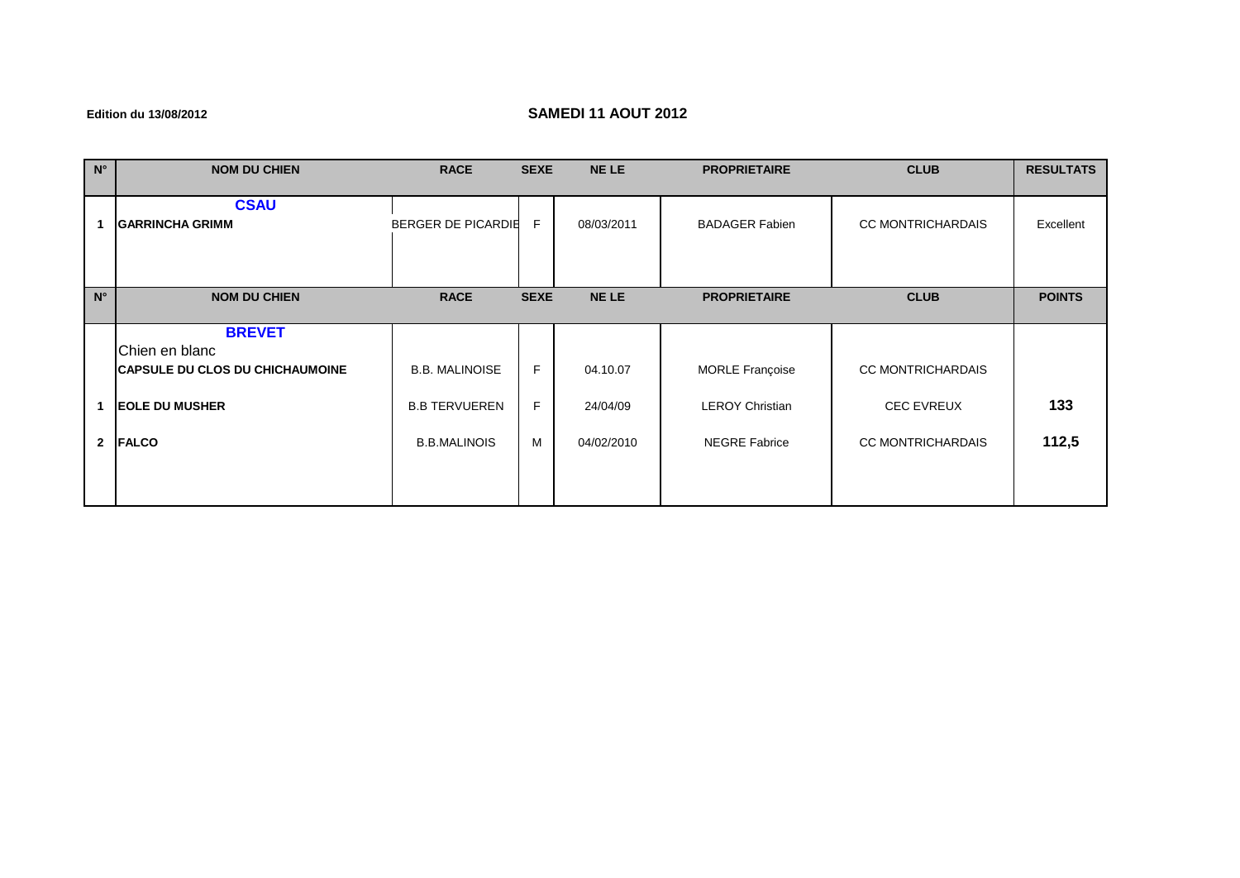## **Edition du 13/08/2012 SAMEDI 11 AOUT 2012**

| $N^{\circ}$  | <b>NOM DU CHIEN</b>                                                                                                | <b>RACE</b>                                                          | <b>SEXE</b>   | <b>NELE</b>                        | <b>PROPRIETAIRE</b>                                                      | <b>CLUB</b>                                                               | <b>RESULTATS</b> |
|--------------|--------------------------------------------------------------------------------------------------------------------|----------------------------------------------------------------------|---------------|------------------------------------|--------------------------------------------------------------------------|---------------------------------------------------------------------------|------------------|
|              | <b>CSAU</b><br><b>GARRINCHA GRIMM</b>                                                                              | BERGER DE PICARDIE                                                   | F             | 08/03/2011                         | <b>BADAGER Fabien</b>                                                    | <b>CC MONTRICHARDAIS</b>                                                  | Excellent        |
| $N^{\circ}$  | <b>NOM DU CHIEN</b>                                                                                                | <b>RACE</b>                                                          | <b>SEXE</b>   | <b>NELE</b>                        | <b>PROPRIETAIRE</b>                                                      | <b>CLUB</b>                                                               | <b>POINTS</b>    |
| $\mathbf{2}$ | <b>BREVET</b><br>Chien en blanc<br><b>CAPSULE DU CLOS DU CHICHAUMOINE</b><br><b>EOLE DU MUSHER</b><br><b>FALCO</b> | <b>B.B. MALINOISE</b><br><b>B.B TERVUEREN</b><br><b>B.B.MALINOIS</b> | F.<br>F.<br>M | 04.10.07<br>24/04/09<br>04/02/2010 | <b>MORLE Françoise</b><br><b>LEROY Christian</b><br><b>NEGRE Fabrice</b> | <b>CC MONTRICHARDAIS</b><br><b>CEC EVREUX</b><br><b>CC MONTRICHARDAIS</b> | 133<br>112,5     |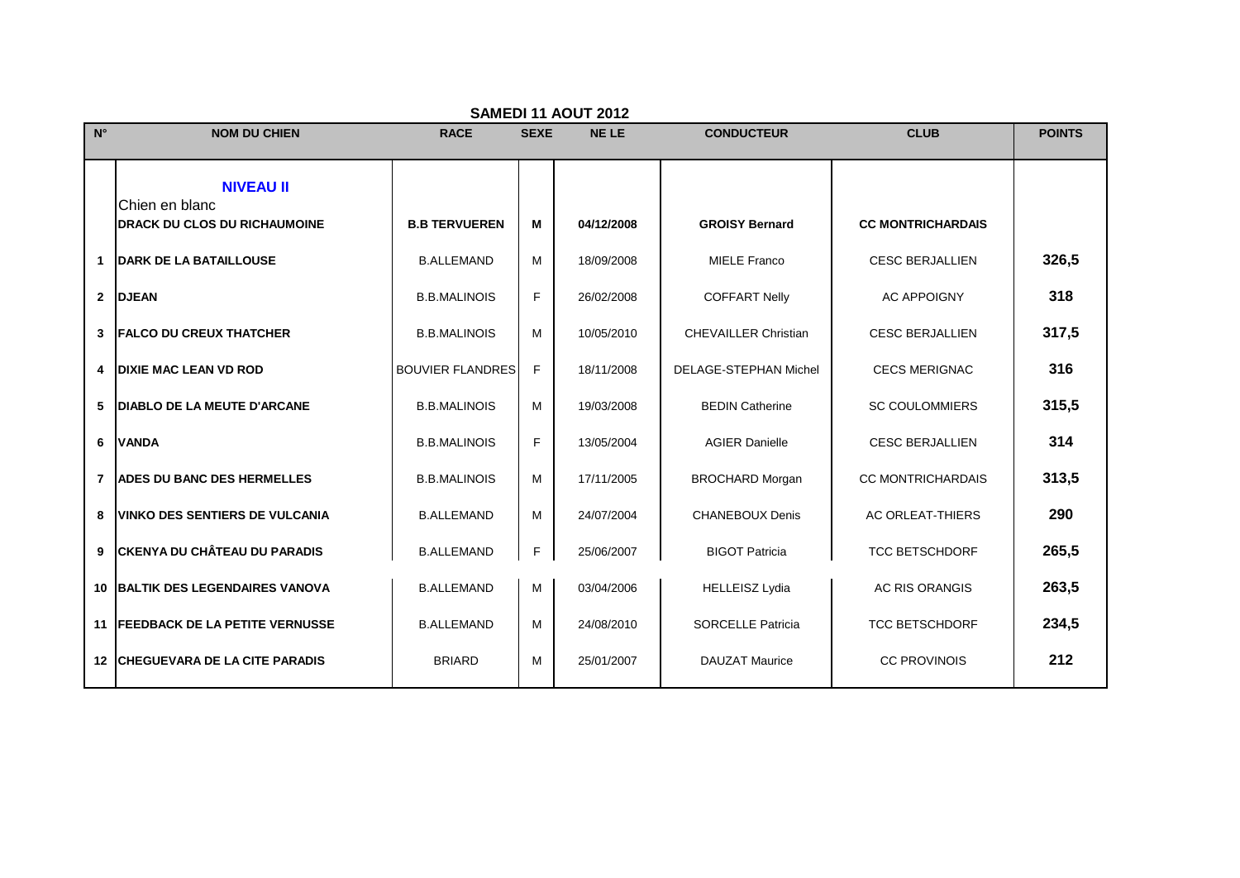|                | SAMEDI 11 AOUT 2012                       |                         |             |             |                              |                          |               |  |  |
|----------------|-------------------------------------------|-------------------------|-------------|-------------|------------------------------|--------------------------|---------------|--|--|
| $N^{\circ}$    | <b>NOM DU CHIEN</b>                       | <b>RACE</b>             | <b>SEXE</b> | <b>NELE</b> | <b>CONDUCTEUR</b>            | <b>CLUB</b>              | <b>POINTS</b> |  |  |
|                |                                           |                         |             |             |                              |                          |               |  |  |
|                | <b>NIVEAU II</b>                          |                         |             |             |                              |                          |               |  |  |
|                | Chien en blanc                            |                         |             |             |                              |                          |               |  |  |
|                | <b>DRACK DU CLOS DU RICHAUMOINE</b>       | <b>B.B TERVUEREN</b>    | м           | 04/12/2008  | <b>GROISY Bernard</b>        | <b>CC MONTRICHARDAIS</b> |               |  |  |
| $\mathbf 1$    | <b>DARK DE LA BATAILLOUSE</b>             | <b>B.ALLEMAND</b>       | м           | 18/09/2008  | <b>MIELE Franco</b>          | <b>CESC BERJALLIEN</b>   | 326,5         |  |  |
|                | 2 DJEAN                                   | <b>B.B.MALINOIS</b>     | F           | 26/02/2008  | <b>COFFART Nelly</b>         | <b>AC APPOIGNY</b>       | 318           |  |  |
|                | <b>3 FALCO DU CREUX THATCHER</b>          | <b>B.B.MALINOIS</b>     | M           | 10/05/2010  | <b>CHEVAILLER Christian</b>  | <b>CESC BERJALLIEN</b>   | 317,5         |  |  |
| 4              | <b>DIXIE MAC LEAN VD ROD</b>              | <b>BOUVIER FLANDRES</b> | E           | 18/11/2008  | <b>DELAGE-STEPHAN Michel</b> | <b>CECS MERIGNAC</b>     | 316           |  |  |
| 5              | <b>DIABLO DE LA MEUTE D'ARCANE</b>        | <b>B.B.MALINOIS</b>     | M           | 19/03/2008  | <b>BEDIN Catherine</b>       | <b>SC COULOMMIERS</b>    | 315,5         |  |  |
| 6              | <b>VANDA</b>                              | <b>B.B.MALINOIS</b>     | F           | 13/05/2004  | <b>AGIER Danielle</b>        | <b>CESC BERJALLIEN</b>   | 314           |  |  |
| $\overline{7}$ | <b>ADES DU BANC DES HERMELLES</b>         | <b>B.B.MALINOIS</b>     | м           | 17/11/2005  | <b>BROCHARD Morgan</b>       | <b>CC MONTRICHARDAIS</b> | 313,5         |  |  |
| 8              | <b>VINKO DES SENTIERS DE VULCANIA</b>     | <b>B.ALLEMAND</b>       | M           | 24/07/2004  | <b>CHANEBOUX Denis</b>       | <b>AC ORLEAT-THIERS</b>  | 290           |  |  |
| 9              | <b>CKENYA DU CHÂTEAU DU PARADIS</b>       | <b>B.ALLEMAND</b>       | F           | 25/06/2007  | <b>BIGOT Patricia</b>        | <b>TCC BETSCHDORF</b>    | 265,5         |  |  |
|                | <b>10 BALTIK DES LEGENDAIRES VANOVA</b>   | <b>B.ALLEMAND</b>       | M           | 03/04/2006  | <b>HELLEISZ Lydia</b>        | <b>AC RIS ORANGIS</b>    | 263,5         |  |  |
|                | <b>11 IFEEDBACK DE LA PETITE VERNUSSE</b> | <b>B.ALLEMAND</b>       | м           | 24/08/2010  | <b>SORCELLE Patricia</b>     | <b>TCC BETSCHDORF</b>    | 234,5         |  |  |
|                | <b>12 CHEGUEVARA DE LA CITE PARADIS</b>   | <b>BRIARD</b>           | M           | 25/01/2007  | <b>DAUZAT Maurice</b>        | <b>CC PROVINOIS</b>      | 212           |  |  |